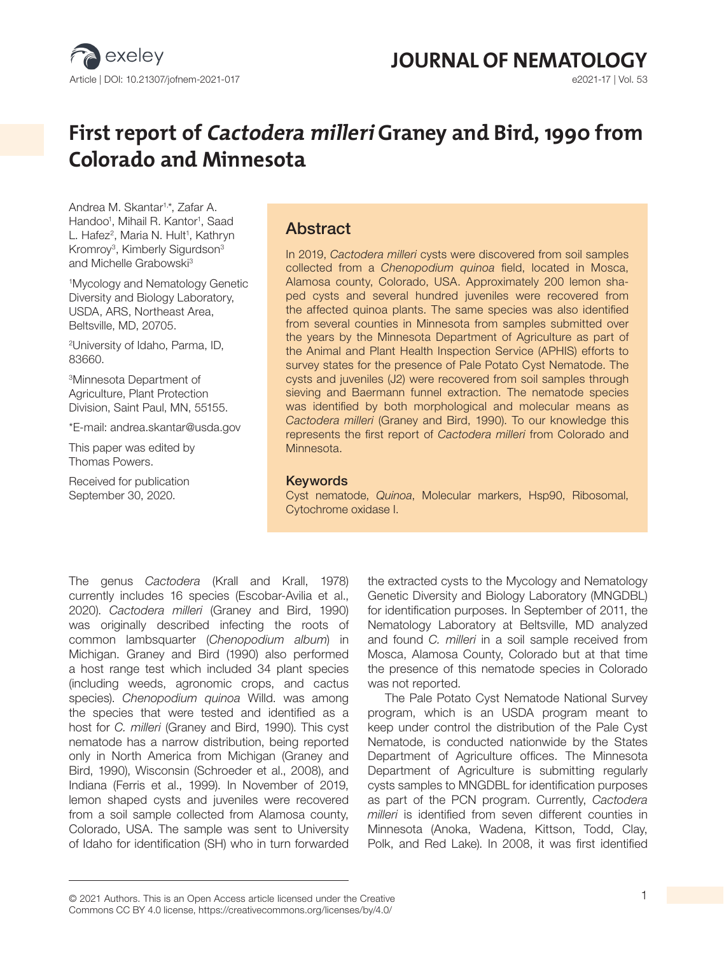

**JOURNAL OF NEMATOLOGY**<br> **G2021-17 | Vol. 53** 

# **First report of Cactodera milleri Graney and Bird, 1990 from Colorado and Minnesota**

Andrea M. Skantar1,\*, Zafar A. Handoo<sup>1</sup>, Mihail R. Kantor<sup>1</sup>, Saad L. Hafez<sup>2</sup>, Maria N. Hult<sup>1</sup>, Kathryn Kromroy<sup>3</sup>, Kimberly Sigurdson<sup>3</sup> and Michelle Grabowski<sup>3</sup>

1 Mycology and Nematology Genetic Diversity and Biology Laboratory, USDA, ARS, Northeast Area, Beltsville, MD, 20705.

2 University of Idaho, Parma, ID, 83660.

3Minnesota Department of Agriculture, Plant Protection Division, Saint Paul, MN, 55155.

\*E-mail: andrea.skantar@usda.gov

This paper was edited by Thomas Powers.

Received for publication September 30, 2020.

# Abstract

In 2019, *Cactodera milleri* cysts were discovered from soil samples collected from a *Chenopodium quinoa* field, located in Mosca, Alamosa county, Colorado, USA. Approximately 200 lemon shaped cysts and several hundred juveniles were recovered from the affected quinoa plants. The same species was also identified from several counties in Minnesota from samples submitted over the years by the Minnesota Department of Agriculture as part of the Animal and Plant Health Inspection Service (APHIS) efforts to survey states for the presence of Pale Potato Cyst Nematode. The cysts and juveniles (J2) were recovered from soil samples through sieving and Baermann funnel extraction. The nematode species was identified by both morphological and molecular means as *Cactodera milleri* (Graney and Bird, 1990). To our knowledge this represents the first report of *Cactodera milleri* from Colorado and Minnesota.

#### **Keywords**

Cyst nematode, *Quinoa*, Molecular markers, Hsp90, Ribosomal, Cytochrome oxidase I.

The genus *Cactodera* (Krall and Krall, 1978) currently includes 16 species (Escobar-Avilia et al., 2020). *Cactodera milleri* (Graney and Bird, 1990) was originally described infecting the roots of common lambsquarter (*Chenopodium album*) in Michigan. Graney and Bird (1990) also performed a host range test which included 34 plant species (including weeds, agronomic crops, and cactus species). *Chenopodium quinoa* Willd. was among the species that were tested and identified as a host for *C. milleri* (Graney and Bird, 1990). This cyst nematode has a narrow distribution, being reported only in North America from Michigan (Graney and Bird, 1990), Wisconsin (Schroeder et al., 2008), and Indiana (Ferris et al., 1999). In November of 2019, lemon shaped cysts and juveniles were recovered from a soil sample collected from Alamosa county, Colorado, USA. The sample was sent to University of Idaho for identification (SH) who in turn forwarded the extracted cysts to the Mycology and Nematology Genetic Diversity and Biology Laboratory (MNGDBL) for identification purposes. In September of 2011, the Nematology Laboratory at Beltsville, MD analyzed and found *C. milleri* in a soil sample received from Mosca, Alamosa County, Colorado but at that time the presence of this nematode species in Colorado was not reported.

The Pale Potato Cyst Nematode National Survey program, which is an USDA program meant to keep under control the distribution of the Pale Cyst Nematode, is conducted nationwide by the States Department of Agriculture offices. The Minnesota Department of Agriculture is submitting regularly cysts samples to MNGDBL for identification purposes as part of the PCN program. Currently, *Cactodera milleri* is identified from seven different counties in Minnesota (Anoka, Wadena, Kittson, Todd, Clay, Polk, and Red Lake). In 2008, it was first identified

© 2021 Authors. This is an Open Access article licensed under the Creative 1 Commons CC BY 4.0 license, https://creativecommons.org/licenses/by/4.0/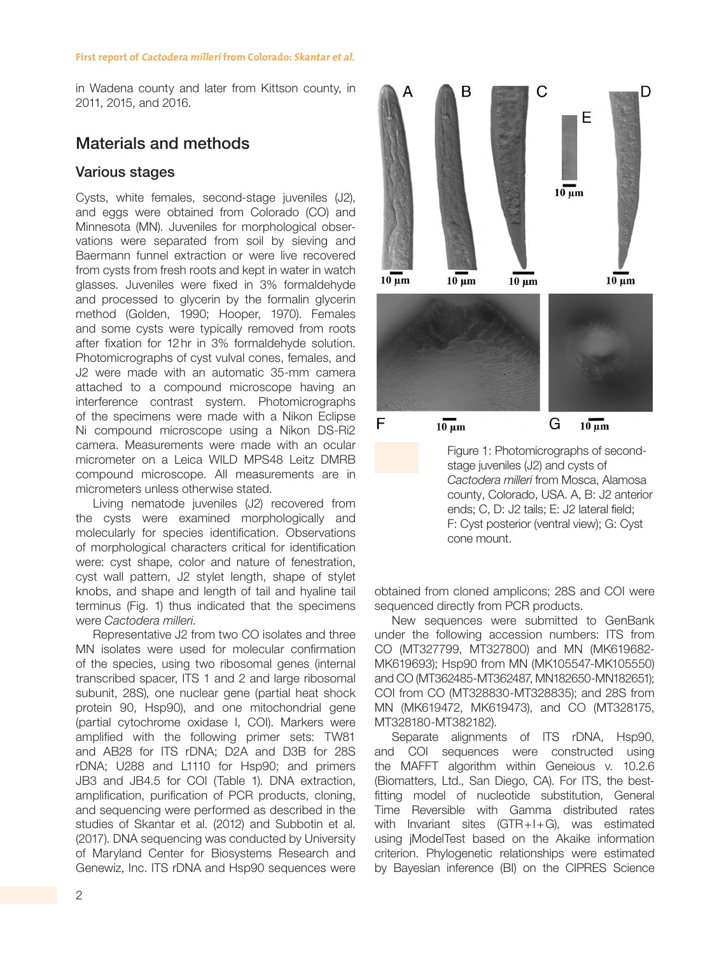in Wadena county and later from Kittson county, in 2011, 2015, and 2016.

# Materials and methods

## Various stages

Cysts, white females, second-stage juveniles (J2), and eggs were obtained from Colorado (CO) and Minnesota (MN). Juveniles for morphological observations were separated from soil by sieving and Baermann funnel extraction or were live recovered from cysts from fresh roots and kept in water in watch glasses. Juveniles were fixed in 3% formaldehyde and processed to glycerin by the formalin glycerin method (Golden, 1990; Hooper, 1970). Females and some cysts were typically removed from roots after fixation for 12hr in 3% formaldehyde solution. Photomicrographs of cyst vulval cones, females, and J2 were made with an automatic 35-mm camera attached to a compound microscope having an interference contrast system. Photomicrographs of the specimens were made with a Nikon Eclipse Ni compound microscope using a Nikon DS-Ri2 camera. Measurements were made with an ocular micrometer on a Leica WILD MPS48 Leitz DMRB compound microscope. All measurements are in micrometers unless otherwise stated.

Living nematode juveniles (J2) recovered from the cysts were examined morphologically and molecularly for species identification. Observations of morphological characters critical for identification were: cyst shape, color and nature of fenestration, cyst wall pattern, J2 stylet length, shape of stylet knobs, and shape and length of tail and hyaline tail terminus (Fig. 1) thus indicated that the specimens were *Cactodera milleri*.

Representative J2 from two CO isolates and three MN isolates were used for molecular confirmation of the species, using two ribosomal genes (internal transcribed spacer, ITS 1 and 2 and large ribosomal subunit, 28S), one nuclear gene (partial heat shock protein 90, Hsp90), and one mitochondrial gene (partial cytochrome oxidase I, COI). Markers were amplified with the following primer sets: TW81 and AB28 for ITS rDNA; D2A and D3B for 28S rDNA; U288 and L1110 for Hsp90; and primers JB3 and JB4.5 for COI (Table 1). DNA extraction, amplification, purification of PCR products, cloning, and sequencing were performed as described in the studies of Skantar et al. (2012) and Subbotin et al. (2017). DNA sequencing was conducted by University of Maryland Center for Biosystems Research and Genewiz, Inc. ITS rDNA and Hsp90 sequences were



Figure 1: Photomicrographs of secondstage juveniles (J2) and cysts of *Cactodera milleri* from Mosca, Alamosa county, Colorado, USA. A, B: J2 anterior ends; C, D: J2 tails; E: J2 lateral field; F: Cyst posterior (ventral view); G: Cyst cone mount.

obtained from cloned amplicons; 28S and COI were sequenced directly from PCR products.

New sequences were submitted to GenBank under the following accession numbers: ITS from CO (MT327799, MT327800) and MN (MK619682- MK619693); Hsp90 from MN (MK105547-MK105550) and CO (MT362485-MT362487, MN182650-MN182651); COI from CO (MT328830-MT328835); and 28S from MN (MK619472, MK619473), and CO (MT328175, MT328180-MT382182).

Separate alignments of ITS rDNA, Hsp90, and COI sequences were constructed using the MAFFT algorithm within Geneious v. 10.2.6 (Biomatters, Ltd., San Diego, CA). For ITS, the bestfitting model of nucleotide substitution, General Time Reversible with Gamma distributed rates with Invariant sites (GTR+I+G), was estimated using jModelTest based on the Akaike information criterion. Phylogenetic relationships were estimated by Bayesian inference (BI) on the CIPRES Science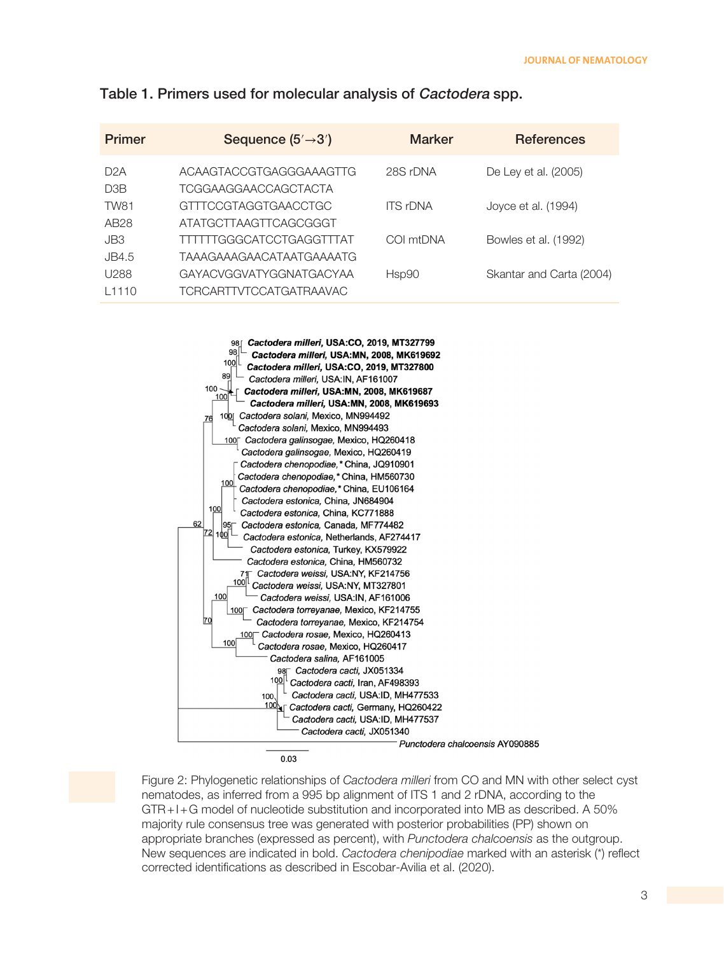| <b>Primer</b>    | Sequence $(5' \rightarrow 3')$ | <b>Marker</b>   | <b>References</b>        |
|------------------|--------------------------------|-----------------|--------------------------|
| D2A              | ACAAGTACCGTGAGGGAAAGTTG        | 28S rDNA        | De Ley et al. (2005)     |
| D3B              | TCGGAAGGAACCAGCTACTA           |                 |                          |
| TW81             | GTTTCCGTAGGTGAACCTGC           | <b>ITS rDNA</b> | Joyce et al. (1994)      |
| AB <sub>28</sub> | ATATGCTTAAGTTCAGCGGGT          |                 |                          |
| JB3              | TTTTTGGGCATCCTGAGGTTTAT        | COI mtDNA       | Bowles et al. (1992)     |
| JB4.5            | TAAAGAAAGAACATAATGAAAATG       |                 |                          |
| U288             | GAYACVGGVATYGGNATGACYAA        | Hsp90           | Skantar and Carta (2004) |
| 11110            | <b>TCRCARTTVTCCATGATRAAVAC</b> |                 |                          |

### Table 1. Primers used for molecular analysis of Cactodera spp.



0.03

Figure 2: Phylogenetic relationships of *Cactodera milleri* from CO and MN with other select cyst nematodes, as inferred from a 995 bp alignment of ITS 1 and 2 rDNA, according to the GTR+I+G model of nucleotide substitution and incorporated into MB as described. A 50% majority rule consensus tree was generated with posterior probabilities (PP) shown on appropriate branches (expressed as percent), with *Punctodera chalcoensis* as the outgroup. New sequences are indicated in bold. *Cactodera chenipodiae* marked with an asterisk (\*) reflect corrected identifications as described in Escobar-Avilia et al. (2020).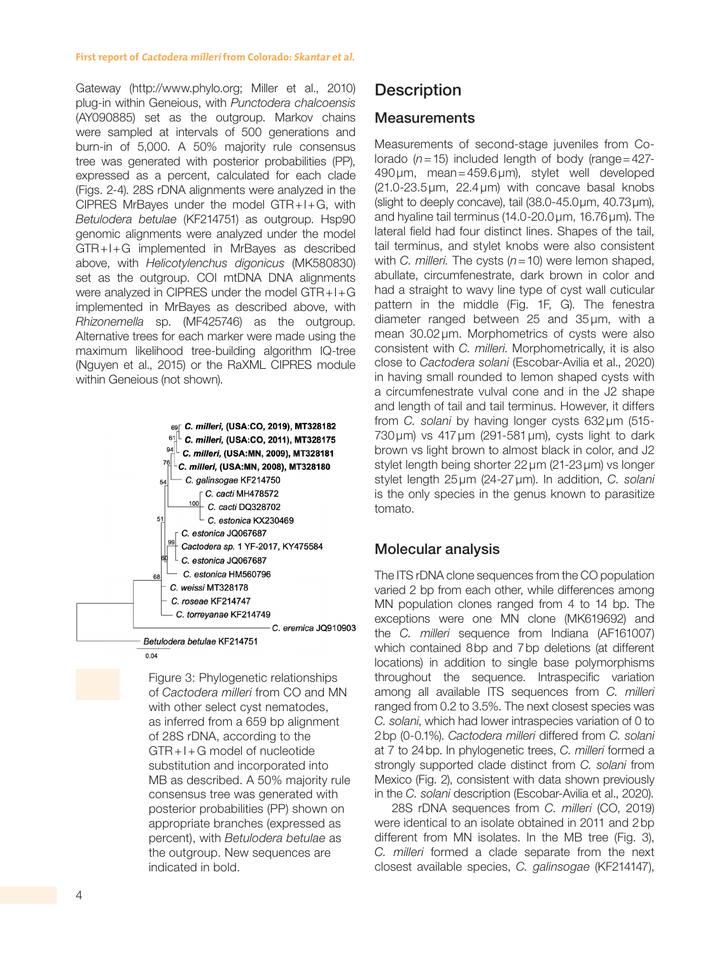#### **First report of Cactodera milleri from Colorado: Skantar et al.**

Gateway (http://www.phylo.org; Miller et al., 2010) plug-in within Geneious, with *Punctodera chalcoensis* (AY090885) set as the outgroup. Markov chains were sampled at intervals of 500 generations and burn-in of 5,000. A 50% majority rule consensus tree was generated with posterior probabilities (PP), expressed as a percent, calculated for each clade (Figs. 2-4). 28S rDNA alignments were analyzed in the CIPRES MrBayes under the model GTR+I+G, with *Betulodera betulae* (KF214751) as outgroup. Hsp90 genomic alignments were analyzed under the model GTR+I+G implemented in MrBayes as described above, with *Helicotylenchus digonicus* (MK580830) set as the outgroup. COI mtDNA DNA alignments were analyzed in CIPRES under the model GTR+I+G implemented in MrBayes as described above, with *Rhizonemella* sp. (MF425746) as the outgroup. Alternative trees for each marker were made using the maximum likelihood tree-building algorithm IQ-tree (Nguyen et al., 2015) or the RaXML CIPRES module within Geneious (not shown).



Figure 3: Phylogenetic relationships of *Cactodera milleri* from CO and MN with other select cyst nematodes, as inferred from a 659 bp alignment of 28S rDNA, according to the GTR+I+G model of nucleotide substitution and incorporated into MB as described. A 50% majority rule consensus tree was generated with posterior probabilities (PP) shown on appropriate branches (expressed as percent), with *Betulodera betulae* as the outgroup. New sequences are indicated in bold.

# **Description**

### **Measurements**

Measurements of second-stage juveniles from Colorado (*n*=15) included length of body (range=427- 490μm, mean=459.6μm), stylet well developed  $(21.0-23.5\,\mu m, 22.4\,\mu m)$  with concave basal knobs (slight to deeply concave), tail (38.0-45.0μm, 40.73μm), and hyaline tail terminus (14.0-20.0μm, 16.76μm). The lateral field had four distinct lines. Shapes of the tail, tail terminus, and stylet knobs were also consistent with *C. milleri.* The cysts (*n*=10) were lemon shaped, abullate, circumfenestrate, dark brown in color and had a straight to wavy line type of cyst wall cuticular pattern in the middle (Fig. 1F, G). The fenestra diameter ranged between 25 and 35μm, with a mean 30.02μm. Morphometrics of cysts were also consistent with *C. milleri*. Morphometrically, it is also close to *Cactodera solani* (Escobar-Avilia et al., 2020) in having small rounded to lemon shaped cysts with a circumfenestrate vulval cone and in the J2 shape and length of tail and tail terminus. However, it differs from *C. solani* by having longer cysts 632μm (515- 730μm) vs 417μm (291-581μm), cysts light to dark brown vs light brown to almost black in color, and J2 stylet length being shorter 22μm (21-23μm) vs longer stylet length 25μm (24-27μm). In addition, *C. solani* is the only species in the genus known to parasitize tomato.

### Molecular analysis

The ITS rDNA clone sequences from the CO population varied 2 bp from each other, while differences among MN population clones ranged from 4 to 14 bp. The exceptions were one MN clone (MK619692) and the *C. milleri* sequence from Indiana (AF161007) which contained 8bp and 7bp deletions (at different locations) in addition to single base polymorphisms throughout the sequence. Intraspecific variation among all available ITS sequences from *C. milleri* ranged from 0.2 to 3.5%. The next closest species was *C. solani*, which had lower intraspecies variation of 0 to 2bp (0-0.1%). *Cactodera milleri* differed from *C. solani* at 7 to 24bp. In phylogenetic trees, *C. milleri* formed a strongly supported clade distinct from *C. solani* from Mexico (Fig. 2), consistent with data shown previously in the *C. solani* description (Escobar-Avilia et al., 2020).

28S rDNA sequences from *C. milleri* (CO, 2019) were identical to an isolate obtained in 2011 and 2bp different from MN isolates. In the MB tree (Fig. 3), *C. milleri* formed a clade separate from the next closest available species, *C. galinsogae* (KF214147),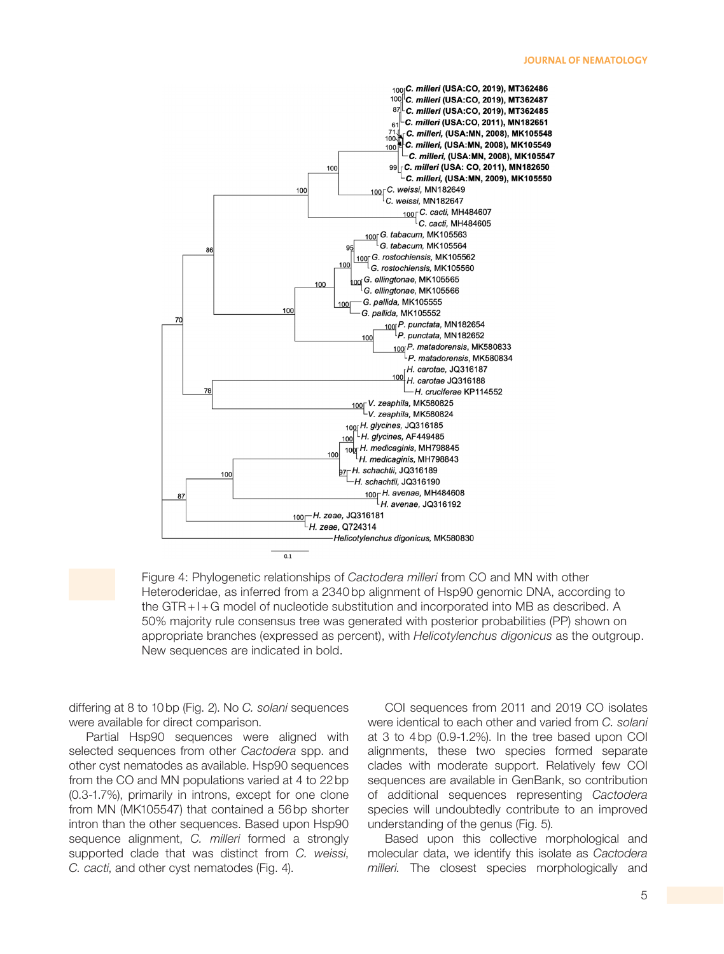

Figure 4: Phylogenetic relationships of *Cactodera milleri* from CO and MN with other Heteroderidae, as inferred from a 2340 bp alignment of Hsp90 genomic DNA, according to the GTR+I+G model of nucleotide substitution and incorporated into MB as described. A 50% majority rule consensus tree was generated with posterior probabilities (PP) shown on appropriate branches (expressed as percent), with *Helicotylenchus digonicus* as the outgroup. New sequences are indicated in bold.

differing at 8 to 10bp (Fig. 2). No *C. solani* sequences were available for direct comparison.

Partial Hsp90 sequences were aligned with selected sequences from other *Cactodera* spp. and other cyst nematodes as available. Hsp90 sequences from the CO and MN populations varied at 4 to 22bp (0.3-1.7%), primarily in introns, except for one clone from MN (MK105547) that contained a 56bp shorter intron than the other sequences. Based upon Hsp90 sequence alignment, *C. milleri* formed a strongly supported clade that was distinct from *C. weissi*, *C. cacti*, and other cyst nematodes (Fig. 4).

COI sequences from 2011 and 2019 CO isolates were identical to each other and varied from *C. solani* at 3 to 4bp (0.9-1.2%). In the tree based upon COI alignments, these two species formed separate clades with moderate support. Relatively few COI sequences are available in GenBank, so contribution of additional sequences representing *Cactodera* species will undoubtedly contribute to an improved understanding of the genus (Fig. 5).

Based upon this collective morphological and molecular data, we identify this isolate as *Cactodera milleri.* The closest species morphologically and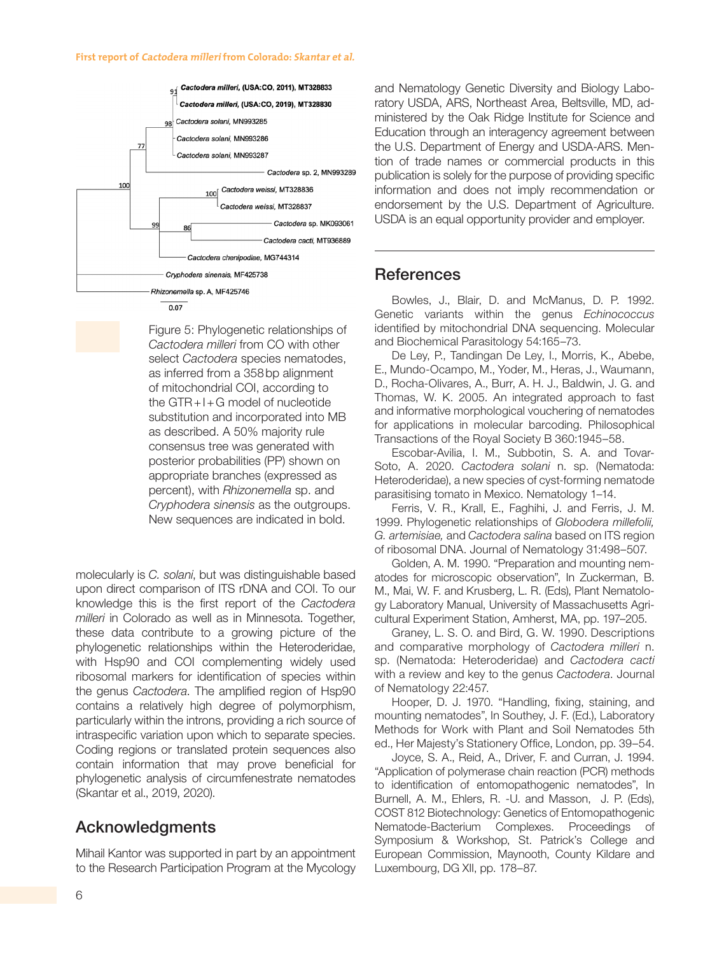

Figure 5: Phylogenetic relationships of *Cactodera milleri* from CO with other select *Cactodera* species nematodes, as inferred from a 358bp alignment of mitochondrial COI, according to the  $GTR+I+G$  model of nucleotide substitution and incorporated into MB as described. A 50% majority rule consensus tree was generated with posterior probabilities (PP) shown on appropriate branches (expressed as percent), with *Rhizonemella* sp. and *Cryphodera sinensis* as the outgroups. New sequences are indicated in bold.

molecularly is *C. solani*, but was distinguishable based upon direct comparison of ITS rDNA and COI. To our knowledge this is the first report of the *Cactodera milleri* in Colorado as well as in Minnesota. Together, these data contribute to a growing picture of the phylogenetic relationships within the Heteroderidae, with Hsp90 and COI complementing widely used ribosomal markers for identification of species within the genus *Cactodera*. The amplified region of Hsp90 contains a relatively high degree of polymorphism, particularly within the introns, providing a rich source of intraspecific variation upon which to separate species. Coding regions or translated protein sequences also contain information that may prove beneficial for phylogenetic analysis of circumfenestrate nematodes (Skantar et al., 2019, 2020).

# Acknowledgments

Mihail Kantor was supported in part by an appointment to the Research Participation Program at the Mycology and Nematology Genetic Diversity and Biology Laboratory USDA, ARS, Northeast Area, Beltsville, MD, administered by the Oak Ridge Institute for Science and Education through an interagency agreement between the U.S. Department of Energy and USDA-ARS. Mention of trade names or commercial products in this publication is solely for the purpose of providing specific information and does not imply recommendation or endorsement by the U.S. Department of Agriculture. USDA is an equal opportunity provider and employer.

# References

Bowles, J., Blair, D. and McManus, D. P. 1992. Genetic variants within the genus *Echinococcus* identified by mitochondrial DNA sequencing. Molecular and Biochemical Parasitology 54:165–73.

De Ley, P., Tandingan De Ley, I., Morris, K., Abebe, E., Mundo-Ocampo, M., Yoder, M., Heras, J., Waumann, D., Rocha-Olivares, A., Burr, A. H. J., Baldwin, J. G. and Thomas, W. K. 2005. An integrated approach to fast and informative morphological vouchering of nematodes for applications in molecular barcoding. Philosophical Transactions of the Royal Society B 360:1945–58.

Escobar-Avilia, I. M., Subbotin, S. A. and Tovar-Soto, A. 2020. *Cactodera solani* n. sp. (Nematoda: Heteroderidae), a new species of cyst-forming nematode parasitising tomato in Mexico. Nematology 1–14.

Ferris, V. R., Krall, E., Faghihi, J. and Ferris, J. M. 1999. Phylogenetic relationships of *Globodera millefolii, G. artemisiae,* and *Cactodera salina* based on ITS region of ribosomal DNA. Journal of Nematology 31:498–507.

Golden, A. M. 1990. "Preparation and mounting nematodes for microscopic observation", In Zuckerman, B. M., Mai, W. F. and Krusberg, L. R. (Eds), Plant Nematology Laboratory Manual, University of Massachusetts Agricultural Experiment Station, Amherst, MA, pp. 197–205.

Graney, L. S. O. and Bird, G. W. 1990. Descriptions and comparative morphology of *Cactodera milleri* n. sp. (Nematoda: Heteroderidae) and *Cactodera cacti* with a review and key to the genus *Cactodera*. Journal of Nematology 22:457.

Hooper, D. J. 1970. "Handling, fixing, staining, and mounting nematodes", In Southey, J. F. (Ed.), Laboratory Methods for Work with Plant and Soil Nematodes 5th ed., Her Majesty's Stationery Office, London, pp. 39–54.

Joyce, S. A., Reid, A., Driver, F. and Curran, J. 1994. "Application of polymerase chain reaction (PCR) methods to identification of entomopathogenic nematodes", In Burnell, A. M., Ehlers, R. -U. and Masson, J. P. (Eds), COST 812 Biotechnology: Genetics of Entomopathogenic Nematode-Bacterium Complexes. Proceedings of Symposium & Workshop, St. Patrick's College and European Commission, Maynooth, County Kildare and Luxembourg, DG XII, pp. 178–87.